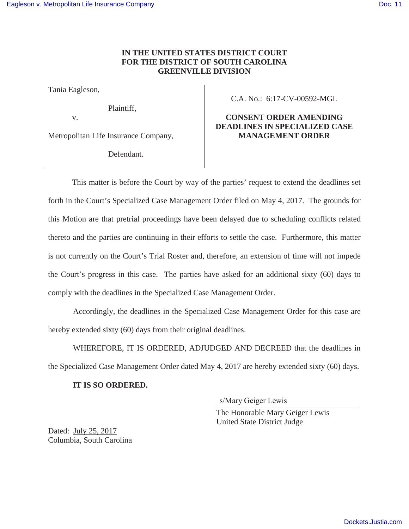## **IN THE UNITED STATES DISTRICT COURT FOR THE DISTRICT OF SOUTH CAROLINA GREENVILLE DIVISION**

Tania Eagleson,

Plaintiff,

v.

Metropolitan Life Insurance Company,

Defendant.

C.A. No.: 6:17-CV-00592-MGL

## **CONSENT ORDER AMENDING DEADLINES IN SPECIALIZED CASE MANAGEMENT ORDER**

This matter is before the Court by way of the parties' request to extend the deadlines set forth in the Court's Specialized Case Management Order filed on May 4, 2017. The grounds for this Motion are that pretrial proceedings have been delayed due to scheduling conflicts related thereto and the parties are continuing in their efforts to settle the case. Furthermore, this matter is not currently on the Court's Trial Roster and, therefore, an extension of time will not impede the Court's progress in this case. The parties have asked for an additional sixty (60) days to comply with the deadlines in the Specialized Case Management Order.

 Accordingly, the deadlines in the Specialized Case Management Order for this case are hereby extended sixty (60) days from their original deadlines.

 WHEREFORE, IT IS ORDERED, ADJUDGED AND DECREED that the deadlines in the Specialized Case Management Order dated May 4, 2017 are hereby extended sixty (60) days.

## **IT IS SO ORDERED.**

s/Mary Geiger Lewis

 The Honorable Mary Geiger Lewis United State District Judge

Dated: July 25, 2017 Columbia, South Carolina